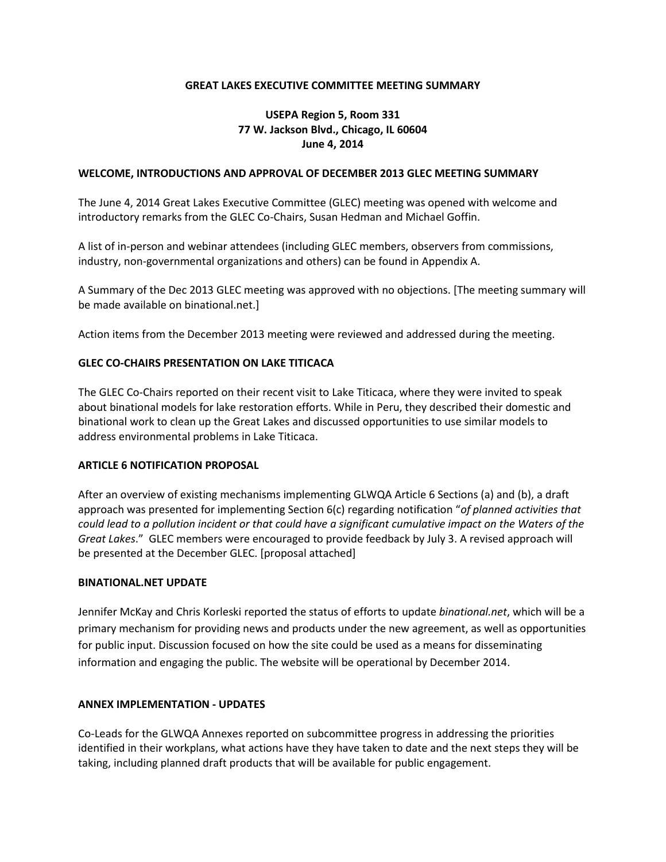### **GREAT LAKES EXECUTIVE COMMITTEE MEETING SUMMARY**

## **USEPA Region 5, Room 331 77 W. Jackson Blvd., Chicago, IL 60604 June 4, 2014**

### **WELCOME, INTRODUCTIONS AND APPROVAL OF DECEMBER 2013 GLEC MEETING SUMMARY**

The June 4, 2014 Great Lakes Executive Committee (GLEC) meeting was opened with welcome and introductory remarks from the GLEC Co-Chairs, Susan Hedman and Michael Goffin.

A list of in-person and webinar attendees (including GLEC members, observers from commissions, industry, non-governmental organizations and others) can be found in Appendix A.

A Summary of the Dec 2013 GLEC meeting was approved with no objections. [The meeting summary will be made available on binational.net.]

Action items from the December 2013 meeting were reviewed and addressed during the meeting.

### **GLEC CO-CHAIRS PRESENTATION ON LAKE TITICACA**

The GLEC Co-Chairs reported on their recent visit to Lake Titicaca, where they were invited to speak about binational models for lake restoration efforts. While in Peru, they described their domestic and binational work to clean up the Great Lakes and discussed opportunities to use similar models to address environmental problems in Lake Titicaca.

#### **ARTICLE 6 NOTIFICATION PROPOSAL**

After an overview of existing mechanisms implementing GLWQA Article 6 Sections (a) and (b), a draft approach was presented for implementing Section 6(c) regarding notification "*of planned activities that could lead to a pollution incident or that could have a significant cumulative impact on the Waters of the Great Lakes*." GLEC members were encouraged to provide feedback by July 3. A revised approach will be presented at the December GLEC. [proposal attached]

#### **BINATIONAL.NET UPDATE**

Jennifer McKay and Chris Korleski reported the status of efforts to update *binational.net*, which will be a primary mechanism for providing news and products under the new agreement, as well as opportunities for public input. Discussion focused on how the site could be used as a means for disseminating information and engaging the public. The website will be operational by December 2014.

#### **ANNEX IMPLEMENTATION - UPDATES**

Co-Leads for the GLWQA Annexes reported on subcommittee progress in addressing the priorities identified in their workplans, what actions have they have taken to date and the next steps they will be taking, including planned draft products that will be available for public engagement.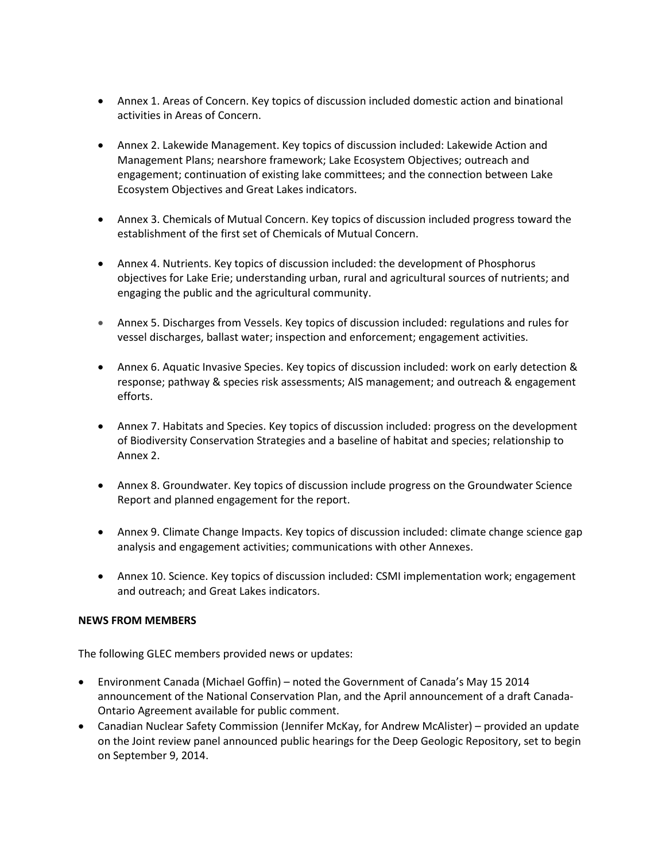- Annex 1. Areas of Concern. Key topics of discussion included domestic action and binational activities in Areas of Concern.
- Annex 2. Lakewide Management. Key topics of discussion included: Lakewide Action and Management Plans; nearshore framework; Lake Ecosystem Objectives; outreach and engagement; continuation of existing lake committees; and the connection between Lake Ecosystem Objectives and Great Lakes indicators.
- Annex 3. Chemicals of Mutual Concern. Key topics of discussion included progress toward the establishment of the first set of Chemicals of Mutual Concern.
- Annex 4. Nutrients. Key topics of discussion included: the development of Phosphorus objectives for Lake Erie; understanding urban, rural and agricultural sources of nutrients; and engaging the public and the agricultural community.
- Annex 5. Discharges from Vessels. Key topics of discussion included: regulations and rules for vessel discharges, ballast water; inspection and enforcement; engagement activities.
- Annex 6. Aquatic Invasive Species. Key topics of discussion included: work on early detection & response; pathway & species risk assessments; AIS management; and outreach & engagement efforts.
- Annex 7. Habitats and Species. Key topics of discussion included: progress on the development of Biodiversity Conservation Strategies and a baseline of habitat and species; relationship to Annex 2.
- Annex 8. Groundwater. Key topics of discussion include progress on the Groundwater Science Report and planned engagement for the report.
- Annex 9. Climate Change Impacts. Key topics of discussion included: climate change science gap analysis and engagement activities; communications with other Annexes.
- Annex 10. Science. Key topics of discussion included: CSMI implementation work; engagement and outreach; and Great Lakes indicators.

### **NEWS FROM MEMBERS**

The following GLEC members provided news or updates:

- Environment Canada (Michael Goffin) noted the Government of Canada's May 15 2014 announcement of the National Conservation Plan, and the April announcement of a draft Canada-Ontario Agreement available for public comment.
- Canadian Nuclear Safety Commission (Jennifer McKay, for Andrew McAlister) provided an update on the Joint review panel announced public hearings for the Deep Geologic Repository, set to begin on September 9, 2014.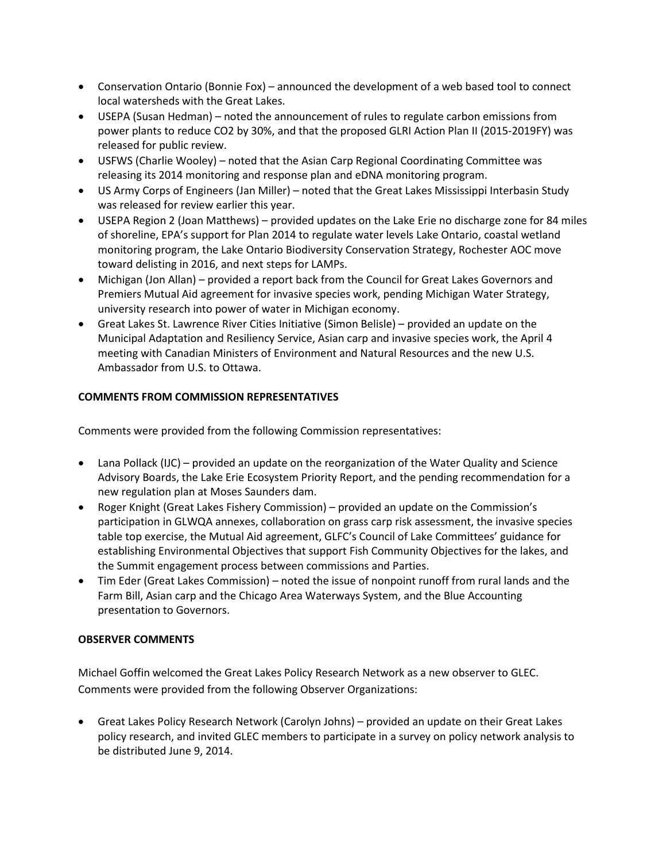- Conservation Ontario (Bonnie Fox) announced the development of a web based tool to connect local watersheds with the Great Lakes.
- USEPA (Susan Hedman) noted the announcement of rules to regulate carbon emissions from power plants to reduce CO2 by 30%, and that the proposed GLRI Action Plan II (2015-2019FY) was released for public review.
- USFWS (Charlie Wooley) noted that the Asian Carp Regional Coordinating Committee was releasing its 2014 monitoring and response plan and eDNA monitoring program.
- US Army Corps of Engineers (Jan Miller) noted that the Great Lakes Mississippi Interbasin Study was released for review earlier this year.
- USEPA Region 2 (Joan Matthews) provided updates on the Lake Erie no discharge zone for 84 miles of shoreline, EPA's support for Plan 2014 to regulate water levels Lake Ontario, coastal wetland monitoring program, the Lake Ontario Biodiversity Conservation Strategy, Rochester AOC move toward delisting in 2016, and next steps for LAMPs.
- Michigan (Jon Allan) provided a report back from the Council for Great Lakes Governors and Premiers Mutual Aid agreement for invasive species work, pending Michigan Water Strategy, university research into power of water in Michigan economy.
- Great Lakes St. Lawrence River Cities Initiative (Simon Belisle) provided an update on the Municipal Adaptation and Resiliency Service, Asian carp and invasive species work, the April 4 meeting with Canadian Ministers of Environment and Natural Resources and the new U.S. Ambassador from U.S. to Ottawa.

## **COMMENTS FROM COMMISSION REPRESENTATIVES**

Comments were provided from the following Commission representatives:

- Lana Pollack (IJC) provided an update on the reorganization of the Water Quality and Science Advisory Boards, the Lake Erie Ecosystem Priority Report, and the pending recommendation for a new regulation plan at Moses Saunders dam.
- Roger Knight (Great Lakes Fishery Commission) provided an update on the Commission's participation in GLWQA annexes, collaboration on grass carp risk assessment, the invasive species table top exercise, the Mutual Aid agreement, GLFC's Council of Lake Committees' guidance for establishing Environmental Objectives that support Fish Community Objectives for the lakes, and the Summit engagement process between commissions and Parties.
- Tim Eder (Great Lakes Commission) noted the issue of nonpoint runoff from rural lands and the Farm Bill, Asian carp and the Chicago Area Waterways System, and the Blue Accounting presentation to Governors.

### **OBSERVER COMMENTS**

Michael Goffin welcomed the Great Lakes Policy Research Network as a new observer to GLEC. Comments were provided from the following Observer Organizations:

• Great Lakes Policy Research Network (Carolyn Johns) – provided an update on their Great Lakes policy research, and invited GLEC members to participate in a survey on policy network analysis to be distributed June 9, 2014.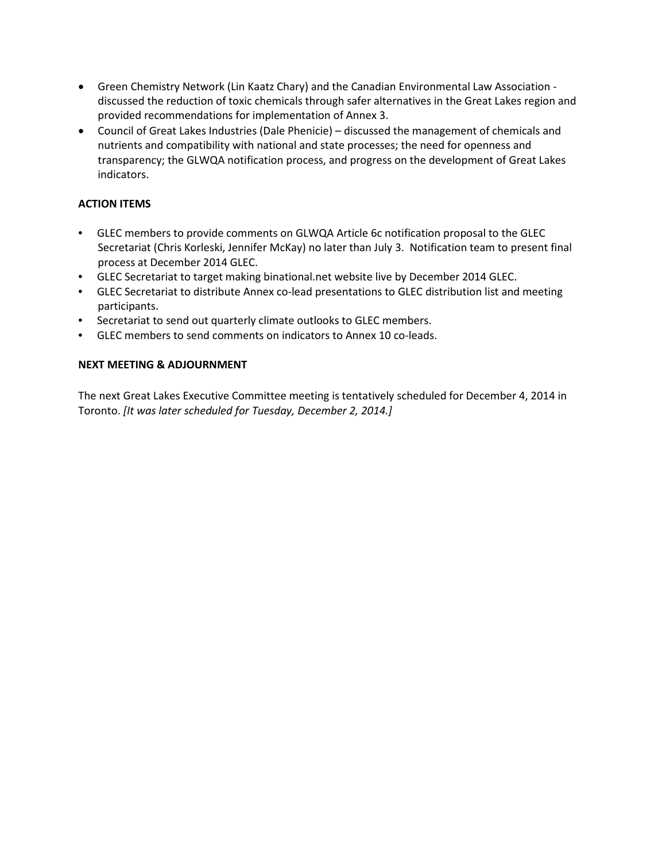- Green Chemistry Network (Lin Kaatz Chary) and the Canadian Environmental Law Association discussed the reduction of toxic chemicals through safer alternatives in the Great Lakes region and provided recommendations for implementation of Annex 3.
- Council of Great Lakes Industries (Dale Phenicie) discussed the management of chemicals and nutrients and compatibility with national and state processes; the need for openness and transparency; the GLWQA notification process, and progress on the development of Great Lakes indicators.

## **ACTION ITEMS**

- GLEC members to provide comments on GLWQA Article 6c notification proposal to the GLEC Secretariat (Chris Korleski, Jennifer McKay) no later than July 3. Notification team to present final process at December 2014 GLEC.
- GLEC Secretariat to target making binational.net website live by December 2014 GLEC.
- GLEC Secretariat to distribute Annex co-lead presentations to GLEC distribution list and meeting participants.
- Secretariat to send out quarterly climate outlooks to GLEC members.
- GLEC members to send comments on indicators to Annex 10 co-leads.

### **NEXT MEETING & ADJOURNMENT**

The next Great Lakes Executive Committee meeting is tentatively scheduled for December 4, 2014 in Toronto. *[It was later scheduled for Tuesday, December 2, 2014.]*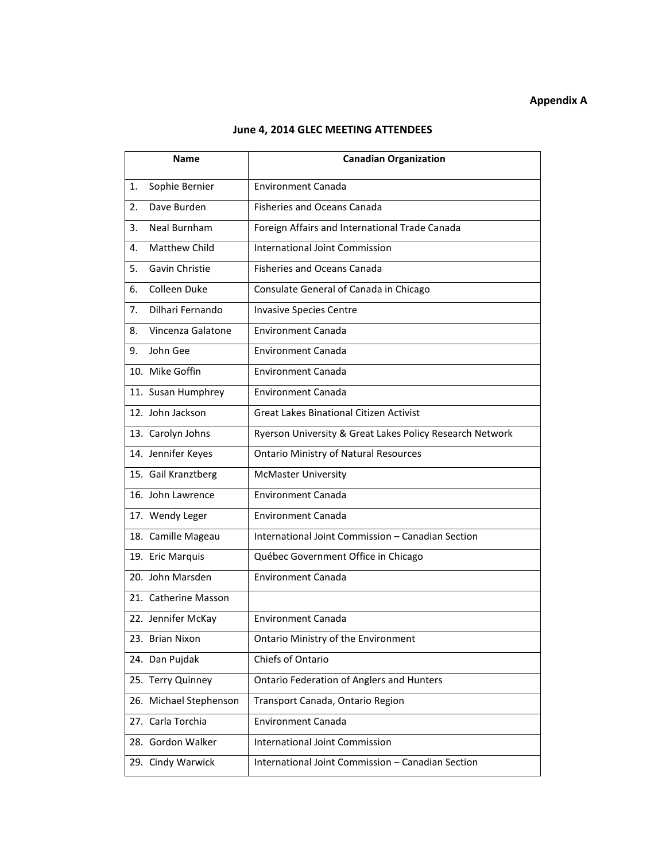# **Appendix A**

### **June 4, 2014 GLEC MEETING ATTENDEES**

| Name |                        | <b>Canadian Organization</b>                             |
|------|------------------------|----------------------------------------------------------|
| 1.   | Sophie Bernier         | <b>Environment Canada</b>                                |
| 2.   | Dave Burden            | <b>Fisheries and Oceans Canada</b>                       |
| 3.   | Neal Burnham           | Foreign Affairs and International Trade Canada           |
| 4.   | Matthew Child          | International Joint Commission                           |
| 5.   | Gavin Christie         | <b>Fisheries and Oceans Canada</b>                       |
| 6.   | Colleen Duke           | Consulate General of Canada in Chicago                   |
| 7.   | Dilhari Fernando       | <b>Invasive Species Centre</b>                           |
| 8.   | Vincenza Galatone      | <b>Environment Canada</b>                                |
| 9.   | John Gee               | <b>Environment Canada</b>                                |
|      | 10. Mike Goffin        | <b>Environment Canada</b>                                |
|      | 11. Susan Humphrey     | <b>Environment Canada</b>                                |
|      | 12. John Jackson       | <b>Great Lakes Binational Citizen Activist</b>           |
|      | 13. Carolyn Johns      | Ryerson University & Great Lakes Policy Research Network |
|      | 14. Jennifer Keyes     | <b>Ontario Ministry of Natural Resources</b>             |
|      | 15. Gail Kranztberg    | <b>McMaster University</b>                               |
|      | 16. John Lawrence      | <b>Environment Canada</b>                                |
|      | 17. Wendy Leger        | <b>Environment Canada</b>                                |
|      | 18. Camille Mageau     | International Joint Commission - Canadian Section        |
|      | 19. Eric Marquis       | Québec Government Office in Chicago                      |
|      | 20. John Marsden       | <b>Environment Canada</b>                                |
|      | 21. Catherine Masson   |                                                          |
|      | 22. Jennifer McKay     | <b>Environment Canada</b>                                |
|      | 23. Brian Nixon        | Ontario Ministry of the Environment                      |
|      | 24. Dan Pujdak         | Chiefs of Ontario                                        |
|      | 25. Terry Quinney      | <b>Ontario Federation of Anglers and Hunters</b>         |
|      | 26. Michael Stephenson | Transport Canada, Ontario Region                         |
|      | 27. Carla Torchia      | <b>Environment Canada</b>                                |
|      | 28. Gordon Walker      | <b>International Joint Commission</b>                    |
|      | 29. Cindy Warwick      | International Joint Commission - Canadian Section        |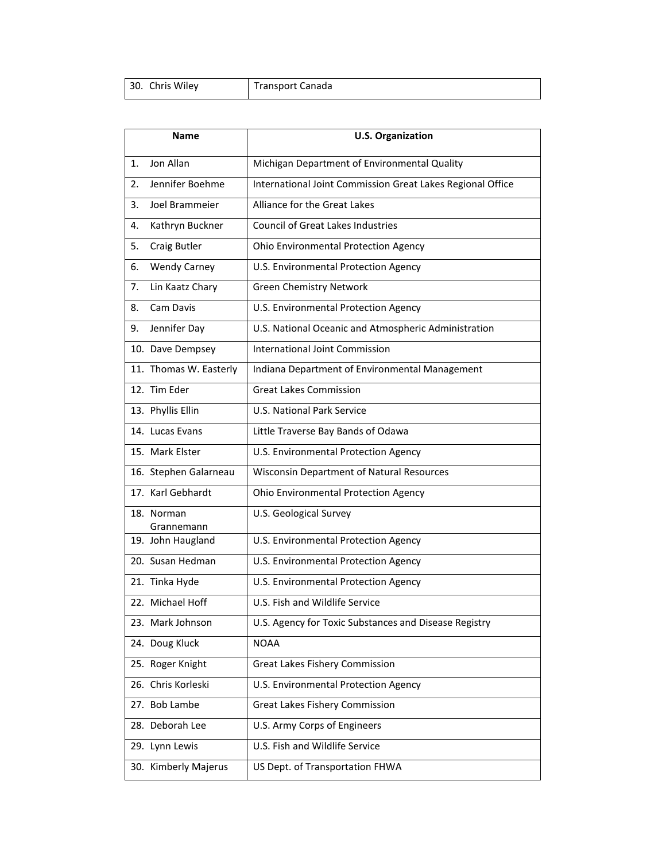| 30. Chris Wiley | Transport Canada |
|-----------------|------------------|
|                 |                  |

| <b>Name</b> |                          | <b>U.S. Organization</b>                                   |
|-------------|--------------------------|------------------------------------------------------------|
| 1.          | Jon Allan                | Michigan Department of Environmental Quality               |
| 2.          | Jennifer Boehme          | International Joint Commission Great Lakes Regional Office |
| 3.          | Joel Brammeier           | Alliance for the Great Lakes                               |
| 4.          | Kathryn Buckner          | <b>Council of Great Lakes Industries</b>                   |
| 5.          | Craig Butler             | Ohio Environmental Protection Agency                       |
| 6.          | <b>Wendy Carney</b>      | U.S. Environmental Protection Agency                       |
| 7.          | Lin Kaatz Chary          | <b>Green Chemistry Network</b>                             |
| 8.          | Cam Davis                | U.S. Environmental Protection Agency                       |
| 9.          | Jennifer Day             | U.S. National Oceanic and Atmospheric Administration       |
|             | 10. Dave Dempsey         | <b>International Joint Commission</b>                      |
|             | 11. Thomas W. Easterly   | Indiana Department of Environmental Management             |
|             | 12. Tim Eder             | <b>Great Lakes Commission</b>                              |
|             | 13. Phyllis Ellin        | <b>U.S. National Park Service</b>                          |
|             | 14. Lucas Evans          | Little Traverse Bay Bands of Odawa                         |
|             | 15. Mark Elster          | U.S. Environmental Protection Agency                       |
|             | 16. Stephen Galarneau    | <b>Wisconsin Department of Natural Resources</b>           |
|             | 17. Karl Gebhardt        | Ohio Environmental Protection Agency                       |
|             | 18. Norman<br>Grannemann | U.S. Geological Survey                                     |
|             | 19. John Haugland        | U.S. Environmental Protection Agency                       |
|             | 20. Susan Hedman         | U.S. Environmental Protection Agency                       |
|             | 21. Tinka Hyde           | U.S. Environmental Protection Agency                       |
|             | 22. Michael Hoff         | U.S. Fish and Wildlife Service                             |
|             | 23. Mark Johnson         | U.S. Agency for Toxic Substances and Disease Registry      |
|             | 24. Doug Kluck           | <b>NOAA</b>                                                |
|             | 25. Roger Knight         | Great Lakes Fishery Commission                             |
|             | 26. Chris Korleski       | U.S. Environmental Protection Agency                       |
|             | 27. Bob Lambe            | <b>Great Lakes Fishery Commission</b>                      |
|             | 28. Deborah Lee          | U.S. Army Corps of Engineers                               |
|             | 29. Lynn Lewis           | U.S. Fish and Wildlife Service                             |
|             | 30. Kimberly Majerus     | US Dept. of Transportation FHWA                            |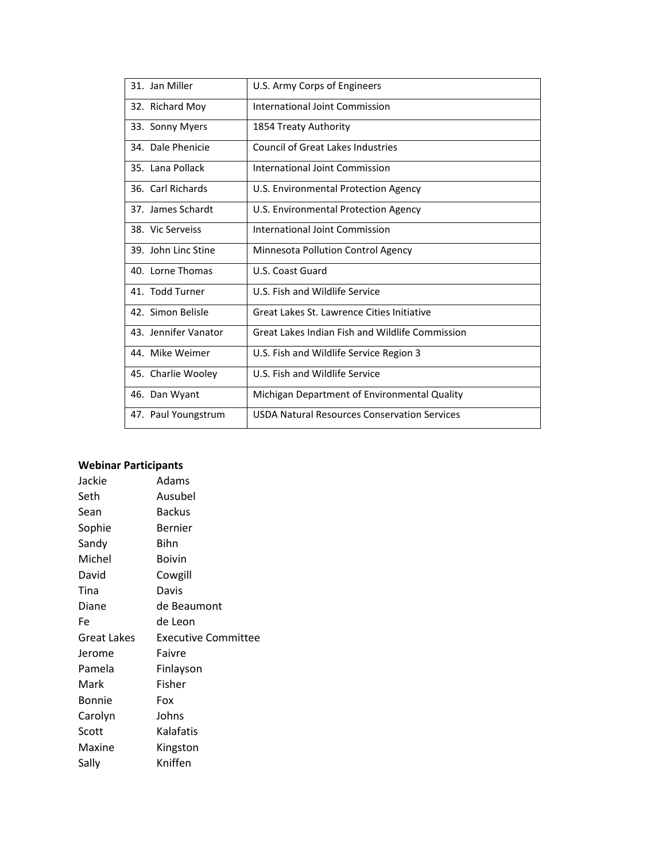| 31. Jan Miller       | U.S. Army Corps of Engineers                        |
|----------------------|-----------------------------------------------------|
| 32. Richard Moy      | International Joint Commission                      |
| 33. Sonny Myers      | 1854 Treaty Authority                               |
| 34. Dale Phenicie    | <b>Council of Great Lakes Industries</b>            |
| 35. Lana Pollack     | International Joint Commission                      |
| 36. Carl Richards    | U.S. Environmental Protection Agency                |
| 37. James Schardt    | U.S. Environmental Protection Agency                |
| 38. Vic Serveiss     | <b>International Joint Commission</b>               |
| 39. John Linc Stine  | Minnesota Pollution Control Agency                  |
| 40. Lorne Thomas     | U.S. Coast Guard                                    |
| 41. Todd Turner      | U.S. Fish and Wildlife Service                      |
| 42. Simon Belisle    | Great Lakes St. Lawrence Cities Initiative          |
| 43. Jennifer Vanator | Great Lakes Indian Fish and Wildlife Commission     |
| 44. Mike Weimer      | U.S. Fish and Wildlife Service Region 3             |
| 45. Charlie Wooley   | U.S. Fish and Wildlife Service                      |
| 46. Dan Wyant        | Michigan Department of Environmental Quality        |
| 47. Paul Youngstrum  | <b>USDA Natural Resources Conservation Services</b> |

### **Webinar Participants**

| Jackie        | Adams                      |
|---------------|----------------------------|
| Seth          | Ausubel                    |
| Sean          | Backus                     |
| Sophie        | Bernier                    |
| Sandy         | Bihn                       |
| Michel        | Boivin                     |
| David         | Cowgill                    |
| Tina          | Davis                      |
| Diane         | de Beaumont                |
| Fe            | de Leon                    |
| Great Lakes   | <b>Executive Committee</b> |
| Jerome        | Faivre                     |
| Pamela        | Finlayson                  |
| Mark          | Fisher                     |
| <b>Bonnie</b> | Fox                        |
| Carolyn       | Johns                      |
| Scott         | Kalafatis                  |
| Maxine        | Kingston                   |
| Sally         | Kniffen                    |